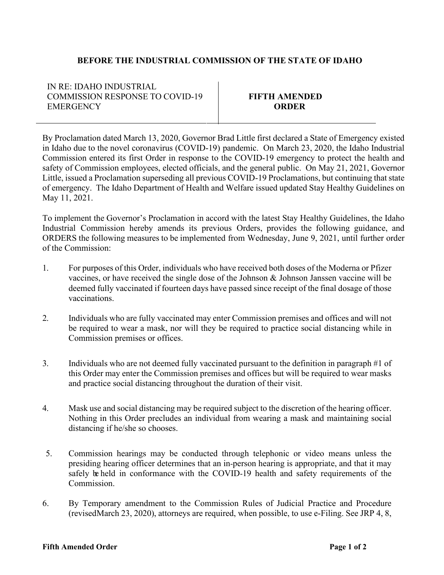## **BEFORE THE INDUSTRIAL COMMISSION OF THE STATE OF IDAHO**

## IN RE: IDAHO INDUSTRIAL COMMISSION RESPONSE TO COVID-19 **EMERGENCY**

## **FIFTH AMENDED ORDER**

By Proclamation dated March 13, 2020, Governor Brad Little first declared a State of Emergency existed in Idaho due to the novel coronavirus (COVID-19) pandemic. On March 23, 2020, the Idaho Industrial Commission entered its first Order in response to the COVID-19 emergency to protect the health and safety of Commission employees, elected officials, and the general public. On May 21, 2021, Governor Little, issued a Proclamation superseding all previous COVID-19 Proclamations, but continuing that state of emergency. The Idaho Department of Health and Welfare issued updated Stay Healthy Guidelines on May 11, 2021.

To implement the Governor's Proclamation in accord with the latest Stay Healthy Guidelines, the Idaho Industrial Commission hereby amends its previous Orders, provides the following guidance, and ORDERS the following measures to be implemented from Wednesday, June 9, 2021, until further order of the Commission:

- 1. For purposes of this Order, individuals who have received both doses of the Moderna or Pfizer vaccines, or have received the single dose of the Johnson & Johnson Janssen vaccine will be deemed fully vaccinated if fourteen days have passed since receipt of the final dosage of those vaccinations.
- 2. Individuals who are fully vaccinated may enter Commission premises and offices and will not be required to wear a mask, nor will they be required to practice social distancing while in Commission premises or offices.
- 3. Individuals who are not deemed fully vaccinated pursuant to the definition in paragraph #1 of this Order may enter the Commission premises and offices but will be required to wear masks and practice social distancing throughout the duration of their visit.
- 4. Mask use and social distancing may be required subject to the discretion of the hearing officer. Nothing in this Order precludes an individual from wearing a mask and maintaining social distancing if he/she so chooses.
- 5. Commission hearings may be conducted through telephonic or video means unless the presiding hearing officer determines that an in-person hearing is appropriate, and that it may safely be held in conformance with the COVID-19 health and safety requirements of the Commission.
- 6. By Temporary amendment to the Commission Rules of Judicial Practice and Procedure (revisedMarch 23, 2020), attorneys are required, when possible, to use e-Filing. See JRP 4, 8,